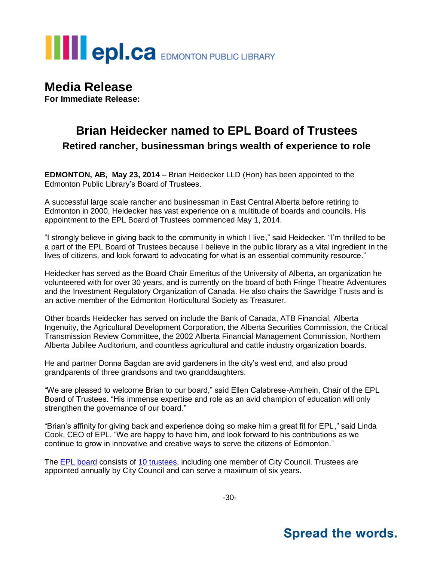# **THE POLCA** EDMONTON PUBLIC LIBRARY

## **Media Release**

**For Immediate Release:**

### **Brian Heidecker named to EPL Board of Trustees Retired rancher, businessman brings wealth of experience to role**

**EDMONTON, AB, May 23, 2014** – Brian Heidecker LLD (Hon) has been appointed to the Edmonton Public Library's Board of Trustees.

A successful large scale rancher and businessman in East Central Alberta before retiring to Edmonton in 2000, Heidecker has vast experience on a multitude of boards and councils. His appointment to the EPL Board of Trustees commenced May 1, 2014.

"I strongly believe in giving back to the community in which I live," said Heidecker. "I'm thrilled to be a part of the EPL Board of Trustees because I believe in the public library as a vital ingredient in the lives of citizens, and look forward to advocating for what is an essential community resource."

Heidecker has served as the Board Chair Emeritus of the University of Alberta, an organization he volunteered with for over 30 years, and is currently on the board of both Fringe Theatre Adventures and the Investment Regulatory Organization of Canada. He also chairs the Sawridge Trusts and is an active member of the Edmonton Horticultural Society as Treasurer.

Other boards Heidecker has served on include the Bank of Canada, ATB Financial, Alberta Ingenuity, the Agricultural Development Corporation, the Alberta Securities Commission, the Critical Transmission Review Committee, the 2002 Alberta Financial Management Commission, Northern Alberta Jubilee Auditorium, and countless agricultural and cattle industry organization boards.

He and partner Donna Bagdan are avid gardeners in the city's west end, and also proud grandparents of three grandsons and two granddaughters.

"We are pleased to welcome Brian to our board," said Ellen Calabrese-Amrhein, Chair of the EPL Board of Trustees. "His immense expertise and role as an avid champion of education will only strengthen the governance of our board."

"Brian's affinity for giving back and experience doing so make him a great fit for EPL," said Linda Cook, CEO of EPL. "We are happy to have him, and look forward to his contributions as we continue to grow in innovative and creative ways to serve the citizens of Edmonton."

The [EPL board](http://www.epl.ca/about-epl/board-of-trustees) consists of [10 trustees,](http://www.epl.ca/about-epl/trustees/trustees) including one member of City Council. Trustees are appointed annually by City Council and can serve a maximum of six years.

## **Spread the words.**